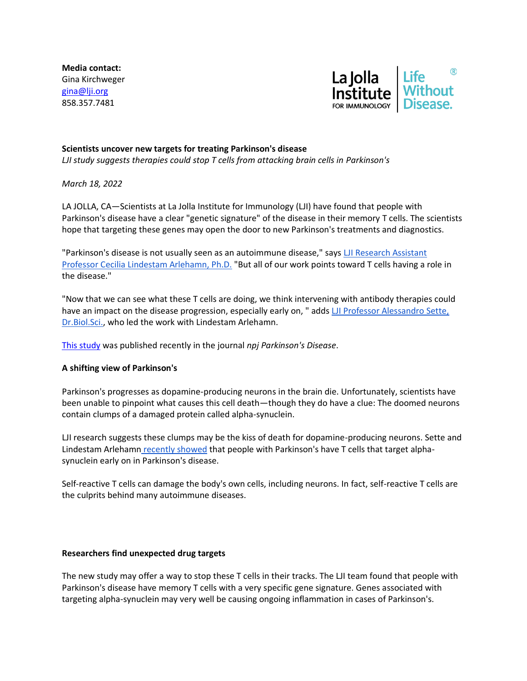**Media contact:** Gina Kirchweger [gina@lji.org](mailto:gina@lji.org) 858.357.7481



## **Scientists uncover new targets for treating Parkinson's disease**

*LJI study suggests therapies could stop T cells from attacking brain cells in Parkinson's*

*March 18, 2022*

LA JOLLA, CA—Scientists at La Jolla Institute for Immunology (LJI) have found that people with Parkinson's disease have a clear "genetic signature" of the disease in their memory T cells. The scientists hope that targeting these genes may open the door to new Parkinson's treatments and diagnostics.

"Parkinson's disease is not usually seen as an autoimmune disease," says LJI Research Assistant [Professor Cecilia Lindestam Arlehamn, Ph.D.](https://www.lji.org/labs/lindestam-arlehamn-lab/) "But all of our work points toward T cells having a role in the disease."

"Now that we can see what these T cells are doing, we think intervening with antibody therapies could have an impact on the disease progression, especially early on, " adds LJI Professor Alessandro Sette, [Dr.Biol.Sci.,](https://www.lji.org/labs/sette/) who led the work with Lindestam Arlehamn.

[This study](https://doi.org/10.1038/s41531-022-00282-2) was published recently in the journal *npj Parkinson's Disease*.

# **A shifting view of Parkinson's**

Parkinson's progresses as dopamine-producing neurons in the brain die. Unfortunately, scientists have been unable to pinpoint what causes this cell death—though they do have a clue: The doomed neurons contain clumps of a damaged protein called alpha-synuclein.

LJI research suggests these clumps may be the kiss of death for dopamine-producing neurons. Sette and Lindestam Arlehamn [recently showed](https://www.lji.org/news-events/news/post/lji-scientists-link-immune-cells-to-parkinsons-disease-onset/) that people with Parkinson's have T cells that target alphasynuclein early on in Parkinson's disease.

Self-reactive T cells can damage the body's own cells, including neurons. In fact, self-reactive T cells are the culprits behind many autoimmune diseases.

### **Researchers find unexpected drug targets**

The new study may offer a way to stop these T cells in their tracks. The LJI team found that people with Parkinson's disease have memory T cells with a very specific gene signature. Genes associated with targeting alpha-synuclein may very well be causing ongoing inflammation in cases of Parkinson's.